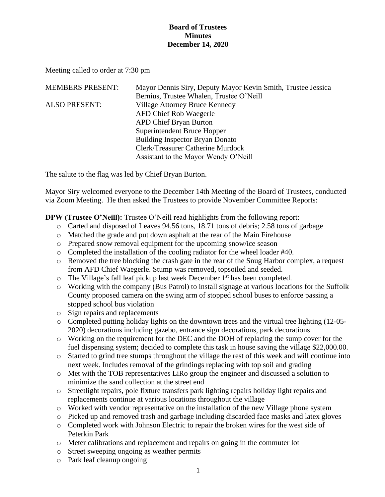Meeting called to order at 7:30 pm

| <b>MEMBERS PRESENT:</b> | Mayor Dennis Siry, Deputy Mayor Kevin Smith, Trustee Jessica |
|-------------------------|--------------------------------------------------------------|
|                         | Bernius, Trustee Whalen, Trustee O'Neill                     |
| <b>ALSO PRESENT:</b>    | Village Attorney Bruce Kennedy                               |
|                         | <b>AFD Chief Rob Waegerle</b>                                |
|                         | <b>APD Chief Bryan Burton</b>                                |
|                         | Superintendent Bruce Hopper                                  |
|                         | <b>Building Inspector Bryan Donato</b>                       |
|                         | Clerk/Treasurer Catherine Murdock                            |
|                         | Assistant to the Mayor Wendy O'Neill                         |

The salute to the flag was led by Chief Bryan Burton.

Mayor Siry welcomed everyone to the December 14th Meeting of the Board of Trustees, conducted via Zoom Meeting. He then asked the Trustees to provide November Committee Reports:

**DPW (Trustee O'Neill):** Trustee O'Neill read highlights from the following report:

- o Carted and disposed of Leaves 94.56 tons, 18.71 tons of debris; 2.58 tons of garbage
- o Matched the grade and put down asphalt at the rear of the Main Firehouse
- o Prepared snow removal equipment for the upcoming snow/ice season
- o Completed the installation of the cooling radiator for the wheel loader #40.
- $\circ$  Removed the tree blocking the crash gate in the rear of the Snug Harbor complex, a request from AFD Chief Waegerle. Stump was removed, topsoiled and seeded.
- o The Village's fall leaf pickup last week December 1st has been completed.
- o Working with the company (Bus Patrol) to install signage at various locations for the Suffolk County proposed camera on the swing arm of stopped school buses to enforce passing a stopped school bus violation
- o Sign repairs and replacements
- o Completed putting holiday lights on the downtown trees and the virtual tree lighting (12-05- 2020) decorations including gazebo, entrance sign decorations, park decorations
- o Working on the requirement for the DEC and the DOH of replacing the sump cover for the fuel dispensing system; decided to complete this task in house saving the village \$22,000.00.
- o Started to grind tree stumps throughout the village the rest of this week and will continue into next week. Includes removal of the grindings replacing with top soil and grading
- o Met with the TOB representatives LiRo group the engineer and discussed a solution to minimize the sand collection at the street end
- o Streetlight repairs, pole fixture transfers park lighting repairs holiday light repairs and replacements continue at various locations throughout the village
- o Worked with vendor representative on the installation of the new Village phone system
- o Picked up and removed trash and garbage including discarded face masks and latex gloves
- o Completed work with Johnson Electric to repair the broken wires for the west side of Peterkin Park
- o Meter calibrations and replacement and repairs on going in the commuter lot
- o Street sweeping ongoing as weather permits
- o Park leaf cleanup ongoing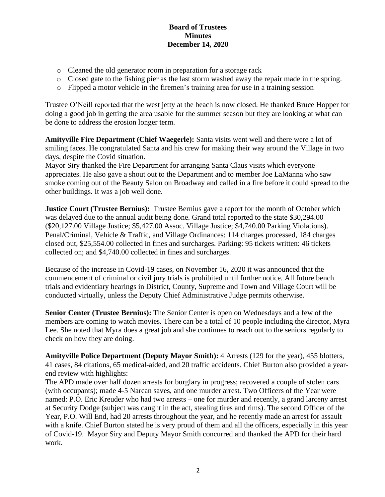- o Cleaned the old generator room in preparation for a storage rack
- o Closed gate to the fishing pier as the last storm washed away the repair made in the spring.
- o Flipped a motor vehicle in the firemen's training area for use in a training session

Trustee O'Neill reported that the west jetty at the beach is now closed. He thanked Bruce Hopper for doing a good job in getting the area usable for the summer season but they are looking at what can be done to address the erosion longer term.

**Amityville Fire Department (Chief Waegerle):** Santa visits went well and there were a lot of smiling faces. He congratulated Santa and his crew for making their way around the Village in two days, despite the Covid situation.

Mayor Siry thanked the Fire Department for arranging Santa Claus visits which everyone appreciates. He also gave a shout out to the Department and to member Joe LaManna who saw smoke coming out of the Beauty Salon on Broadway and called in a fire before it could spread to the other buildings. It was a job well done.

**Justice Court (Trustee Bernius):** Trustee Bernius gave a report for the month of October which was delayed due to the annual audit being done. Grand total reported to the state \$30,294.00 (\$20,127.00 Village Justice; \$5,427.00 Assoc. Village Justice; \$4,740.00 Parking Violations). Penal/Criminal, Vehicle & Traffic, and Village Ordinances: 114 charges processed, 184 charges closed out, \$25,554.00 collected in fines and surcharges. Parking: 95 tickets written: 46 tickets collected on; and \$4,740.00 collected in fines and surcharges.

Because of the increase in Covid-19 cases, on November 16, 2020 it was announced that the commencement of criminal or civil jury trials is prohibited until further notice. All future bench trials and evidentiary hearings in District, County, Supreme and Town and Village Court will be conducted virtually, unless the Deputy Chief Administrative Judge permits otherwise.

**Senior Center (Trustee Bernius):** The Senior Center is open on Wednesdays and a few of the members are coming to watch movies. There can be a total of 10 people including the director, Myra Lee. She noted that Myra does a great job and she continues to reach out to the seniors regularly to check on how they are doing.

**Amityville Police Department (Deputy Mayor Smith):** 4 Arrests (129 for the year), 455 blotters, 41 cases, 84 citations, 65 medical-aided, and 20 traffic accidents. Chief Burton also provided a yearend review with highlights:

The APD made over half dozen arrests for burglary in progress; recovered a couple of stolen cars (with occupants); made 4-5 Narcan saves, and one murder arrest. Two Officers of the Year were named: P.O. Eric Kreuder who had two arrests – one for murder and recently, a grand larceny arrest at Security Dodge (subject was caught in the act, stealing tires and rims). The second Officer of the Year, P.O. Will End, had 20 arrests throughout the year, and he recently made an arrest for assault with a knife. Chief Burton stated he is very proud of them and all the officers, especially in this year of Covid-19. Mayor Siry and Deputy Mayor Smith concurred and thanked the APD for their hard work.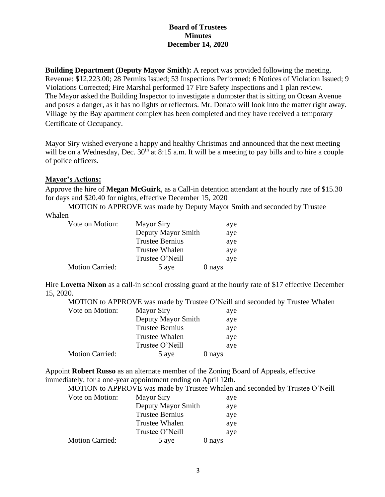**Building Department (Deputy Mayor Smith):** A report was provided following the meeting. Revenue: \$12,223.00; 28 Permits Issued; 53 Inspections Performed; 6 Notices of Violation Issued; 9 Violations Corrected; Fire Marshal performed 17 Fire Safety Inspections and 1 plan review. The Mayor asked the Building Inspector to investigate a dumpster that is sitting on Ocean Avenue and poses a danger, as it has no lights or reflectors. Mr. Donato will look into the matter right away. Village by the Bay apartment complex has been completed and they have received a temporary Certificate of Occupancy.

Mayor Siry wished everyone a happy and healthy Christmas and announced that the next meeting will be on a Wednesday, Dec.  $30<sup>th</sup>$  at  $8:15$  a.m. It will be a meeting to pay bills and to hire a couple of police officers.

## **Mayor's Actions:**

Approve the hire of **Megan McGuirk**, as a Call-in detention attendant at the hourly rate of \$15.30 for days and \$20.40 for nights, effective December 15, 2020

MOTION to APPROVE was made by Deputy Mayor Smith and seconded by Trustee Whalen

| Vote on Motion:        | <b>Mayor Siry</b>      |        | aye |
|------------------------|------------------------|--------|-----|
|                        | Deputy Mayor Smith     |        | aye |
|                        | <b>Trustee Bernius</b> |        | aye |
|                        | <b>Trustee Whalen</b>  |        | aye |
|                        | Trustee O'Neill        |        | aye |
| <b>Motion Carried:</b> | 5 aye                  | 0 nays |     |

Hire **Lovetta Nixon** as a call-in school crossing guard at the hourly rate of \$17 effective December 15, 2020.

MOTION to APPROVE was made by Trustee O'Neill and seconded by Trustee Whalen Vote on Motion: Mayor Siry aye Deputy Mayor Smith aye Trustee Bernius aye

|                        |                       | $\ddotsc$ |
|------------------------|-----------------------|-----------|
|                        | <b>Trustee Whalen</b> | aye       |
|                        | Trustee O'Neill       | aye       |
| <b>Motion Carried:</b> | 5 aye                 | 0 nays    |

Appoint **Robert Russo** as an alternate member of the Zoning Board of Appeals, effective immediately, for a one-year appointment ending on April 12th.

| MOTION to APPROVE was made by Trustee Whalen and seconded by Trustee O'Neill |  |  |  |
|------------------------------------------------------------------------------|--|--|--|
|------------------------------------------------------------------------------|--|--|--|

| Vote on Motion:        | <b>Mayor Siry</b>      |        | aye |
|------------------------|------------------------|--------|-----|
|                        | Deputy Mayor Smith     |        | aye |
|                        | <b>Trustee Bernius</b> |        | aye |
|                        | <b>Trustee Whalen</b>  |        | aye |
|                        | Trustee O'Neill        |        | aye |
| <b>Motion Carried:</b> | 5 aye                  | 0 nays |     |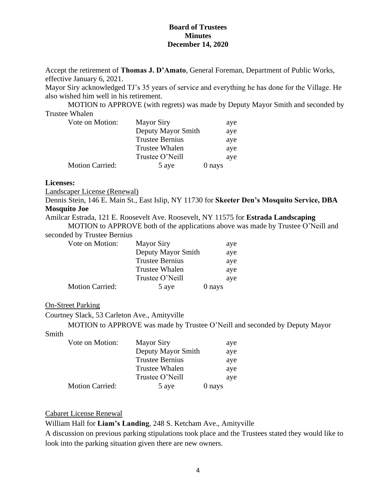Accept the retirement of **Thomas J. D'Amato**, General Foreman, Department of Public Works, effective January 6, 2021.

Mayor Siry acknowledged TJ's 35 years of service and everything he has done for the Village. He also wished him well in his retirement.

MOTION to APPROVE (with regrets) was made by Deputy Mayor Smith and seconded by Trustee Whalen

| Vote on Motion:        | <b>Mayor Siry</b>      | aye    |
|------------------------|------------------------|--------|
|                        | Deputy Mayor Smith     | aye    |
|                        | <b>Trustee Bernius</b> | aye    |
|                        | <b>Trustee Whalen</b>  | aye    |
|                        | Trustee O'Neill        | aye    |
| <b>Motion Carried:</b> | 5 aye                  | 0 nays |

#### **Licenses:**

Landscaper License (Renewal)

Dennis Stein, 146 E. Main St., East Islip, NY 11730 for **Skeeter Den's Mosquito Service, DBA Mosquito Joe** 

Amilcar Estrada, 121 E. Roosevelt Ave. Roosevelt, NY 11575 for **Estrada Landscaping**

MOTION to APPROVE both of the applications above was made by Trustee O'Neill and seconded by Trustee Bernius

| Vote on Motion:        | <b>Mayor Siry</b>      | aye    |
|------------------------|------------------------|--------|
|                        | Deputy Mayor Smith     | aye    |
|                        | <b>Trustee Bernius</b> | aye    |
|                        | <b>Trustee Whalen</b>  | aye    |
|                        | Trustee O'Neill        | aye    |
| <b>Motion Carried:</b> | 5 aye                  | 0 nays |

## On-Street Parking

Courtney Slack, 53 Carleton Ave., Amityville

MOTION to APPROVE was made by Trustee O'Neill and seconded by Deputy Mayor

Smith

| Vote on Motion:        | <b>Mayor Siry</b>      |        | aye |
|------------------------|------------------------|--------|-----|
|                        | Deputy Mayor Smith     |        | aye |
|                        | <b>Trustee Bernius</b> |        | aye |
|                        | <b>Trustee Whalen</b>  |        | aye |
|                        | Trustee O'Neill        |        | aye |
| <b>Motion Carried:</b> | 5 aye                  | 0 nays |     |

Cabaret License Renewal

William Hall for **Liam's Landing**, 248 S. Ketcham Ave., Amityville

A discussion on previous parking stipulations took place and the Trustees stated they would like to look into the parking situation given there are new owners.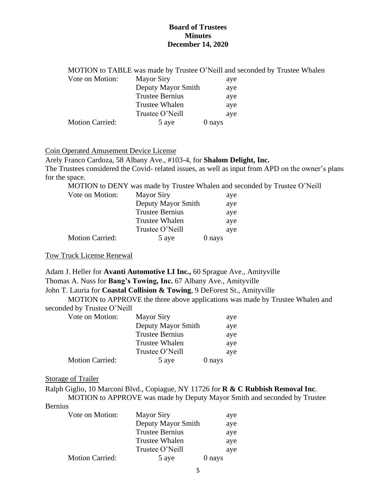|                        |                        | MOTION to TABLE was made by Trustee O'Neill and seconded by Trustee Whalen |  |
|------------------------|------------------------|----------------------------------------------------------------------------|--|
| Vote on Motion:        | <b>Mayor Siry</b>      | aye                                                                        |  |
|                        | Deputy Mayor Smith     | aye                                                                        |  |
|                        | <b>Trustee Bernius</b> | aye                                                                        |  |
|                        | Trustee Whalen         | aye                                                                        |  |
|                        | Trustee O'Neill        | ave                                                                        |  |
| <b>Motion Carried:</b> | 5 aye                  | 0 nays                                                                     |  |

## Coin Operated Amusement Device License

Arely Franco Cardoza, 58 Albany Ave., #103-4, for **Shalom Delight, Inc.**

The Trustees considered the Covid- related issues, as well as input from APD on the owner's plans for the space.

MOTION to DENY was made by Trustee Whalen and seconded by Trustee O'Neill

| Vote on Motion:        | <b>Mayor Siry</b>      |        | aye |
|------------------------|------------------------|--------|-----|
|                        | Deputy Mayor Smith     |        | aye |
|                        | <b>Trustee Bernius</b> |        | aye |
|                        | <b>Trustee Whalen</b>  |        | aye |
|                        | Trustee O'Neill        |        | aye |
| <b>Motion Carried:</b> | 5 aye                  | 0 nays |     |

Tow Truck License Renewal

Adam J. Heller for **Avanti Automotive LI Inc.,** 60 Sprague Ave., Amityville Thomas A. Nuss for **Bang's Towing, Inc.** 67 Albany Ave., Amityville

John T. Lauria for **Coastal Collision & Towing**, 9 DeForest St., Amityville

MOTION to APPROVE the three above applications was made by Trustee Whalen and seconded by Trustee O'Neill

| Vote on Motion:        | <b>Mayor Siry</b>      | aye    |
|------------------------|------------------------|--------|
|                        | Deputy Mayor Smith     | aye    |
|                        | <b>Trustee Bernius</b> | aye    |
|                        | <b>Trustee Whalen</b>  | aye    |
|                        | Trustee O'Neill        | aye    |
| <b>Motion Carried:</b> | 5 aye                  | 0 nays |

#### Storage of Trailer

Ralph Giglio, 10 Marconi Blvd., Copiague, NY 11726 for **R & C Rubbish Removal Inc**.

MOTION to APPROVE was made by Deputy Mayor Smith and seconded by Trustee Bernius

| Vote on Motion:        | <b>Mayor Siry</b>      | aye    |
|------------------------|------------------------|--------|
|                        | Deputy Mayor Smith     | aye    |
|                        | <b>Trustee Bernius</b> | aye    |
|                        | <b>Trustee Whalen</b>  | aye    |
|                        | Trustee O'Neill        | aye    |
| <b>Motion Carried:</b> | 5 aye                  | 0 nays |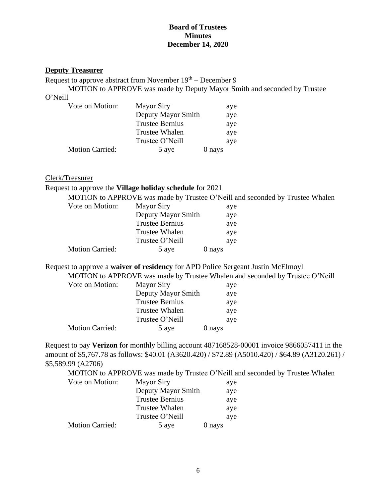# **Deputy Treasurer**

Request to approve abstract from November 19<sup>th</sup> – December 9

MOTION to APPROVE was made by Deputy Mayor Smith and seconded by Trustee O'Neill

| Vote on Motion:        | <b>Mayor Siry</b>      | aye    |
|------------------------|------------------------|--------|
|                        | Deputy Mayor Smith     | aye    |
|                        | <b>Trustee Bernius</b> | aye    |
|                        | <b>Trustee Whalen</b>  | aye    |
|                        | Trustee O'Neill        | aye    |
| <b>Motion Carried:</b> | 5 aye                  | 0 nays |

# Clerk/Treasurer

## Request to approve the **Village holiday schedule** for 2021

|                        |                        | MOTION to APPROVE was made by Trustee O'Neill and seconded by Trustee Whalen |  |
|------------------------|------------------------|------------------------------------------------------------------------------|--|
| Vote on Motion:        | <b>Mayor Siry</b>      | aye                                                                          |  |
|                        | Deputy Mayor Smith     | aye                                                                          |  |
|                        | <b>Trustee Bernius</b> | aye                                                                          |  |
|                        | <b>Trustee Whalen</b>  | aye                                                                          |  |
|                        | Trustee O'Neill        | aye                                                                          |  |
| <b>Motion Carried:</b> | 5 aye                  | 0 nays                                                                       |  |
|                        |                        |                                                                              |  |

Request to approve a **waiver of residency** for APD Police Sergeant Justin McElmoyl

MOTION to APPROVE was made by Trustee Whalen and seconded by Trustee O'Neill

| Vote on Motion:        | <b>Mayor Siry</b>      | aye    |
|------------------------|------------------------|--------|
|                        | Deputy Mayor Smith     | aye    |
|                        | <b>Trustee Bernius</b> | aye    |
|                        | <b>Trustee Whalen</b>  | aye    |
|                        | Trustee O'Neill        | aye    |
| <b>Motion Carried:</b> | 5 aye                  | 0 nays |

Request to pay **Verizon** for monthly billing account 487168528-00001 invoice 9866057411 in the amount of \$5,767.78 as follows: \$40.01 (A3620.420) / \$72.89 (A5010.420) / \$64.89 (A3120.261) / \$5,589.99 (A2706)

MOTION to APPROVE was made by Trustee O'Neill and seconded by Trustee Whalen

| Vote on Motion:        | <b>Mayor Siry</b>      | aye    |
|------------------------|------------------------|--------|
|                        | Deputy Mayor Smith     | aye    |
|                        | <b>Trustee Bernius</b> | aye    |
|                        | <b>Trustee Whalen</b>  | aye    |
|                        | Trustee O'Neill        | aye    |
| <b>Motion Carried:</b> | 5 aye                  | 0 nays |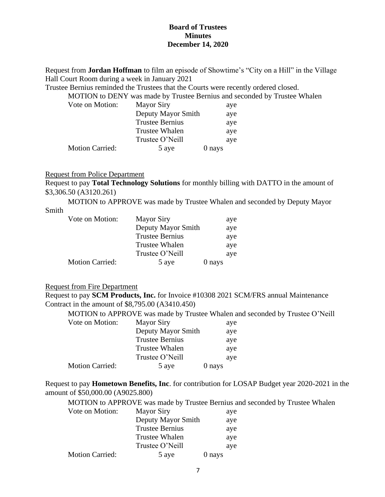Request from **Jordan Hoffman** to film an episode of Showtime's "City on a Hill" in the Village Hall Court Room during a week in January 2021

Trustee Bernius reminded the Trustees that the Courts were recently ordered closed.

MOTION to DENY was made by Trustee Bernius and seconded by Trustee Whalen

| Vote on Motion:        | <b>Mayor Siry</b>      |        | aye |
|------------------------|------------------------|--------|-----|
|                        | Deputy Mayor Smith     |        | aye |
|                        | <b>Trustee Bernius</b> |        | aye |
|                        | <b>Trustee Whalen</b>  |        | aye |
|                        | Trustee O'Neill        |        | aye |
| <b>Motion Carried:</b> | 5 aye                  | 0 nays |     |

#### Request from Police Department

Request to pay **Total Technology Solutions** for monthly billing with DATTO in the amount of \$3,306.50 (A3120.261)

MOTION to APPROVE was made by Trustee Whalen and seconded by Deputy Mayor

# Smith

| Vote on Motion:        | <b>Mayor Siry</b>      |        | aye |
|------------------------|------------------------|--------|-----|
|                        | Deputy Mayor Smith     |        | aye |
|                        | <b>Trustee Bernius</b> |        | aye |
|                        | <b>Trustee Whalen</b>  |        | aye |
|                        | Trustee O'Neill        |        | aye |
| <b>Motion Carried:</b> | 5 aye                  | 0 nays |     |

# Request from Fire Department

Request to pay **SCM Products, Inc.** for Invoice #10308 2021 SCM/FRS annual Maintenance Contract in the amount of \$8,795.00 (A3410.450)

|                        |                        | MOTION to APPROVE was made by Trustee Whalen and seconded by Trustee O'Neill |
|------------------------|------------------------|------------------------------------------------------------------------------|
| Vote on Motion:        | <b>Mayor Siry</b>      | aye                                                                          |
|                        | Deputy Mayor Smith     | aye                                                                          |
|                        | <b>Trustee Bernius</b> | aye                                                                          |
|                        | Trustee Whalen         | aye                                                                          |
|                        | Trustee O'Neill        | aye                                                                          |
| <b>Motion Carried:</b> | 5 aye                  | 0 nays                                                                       |

Request to pay **Hometown Benefits, Inc**. for contribution for LOSAP Budget year 2020-2021 in the amount of \$50,000.00 (A9025.800)

|                        |                        | MOTION to APPROVE was made by Trustee Bernius and seconded by Trustee Whalen |
|------------------------|------------------------|------------------------------------------------------------------------------|
| Vote on Motion:        | <b>Mayor Siry</b>      | aye                                                                          |
|                        | Deputy Mayor Smith     | aye                                                                          |
|                        | <b>Trustee Bernius</b> | aye                                                                          |
|                        | <b>Trustee Whalen</b>  | aye                                                                          |
|                        | Trustee O'Neill        | aye                                                                          |
| <b>Motion Carried:</b> | 5 aye                  | 0 nays                                                                       |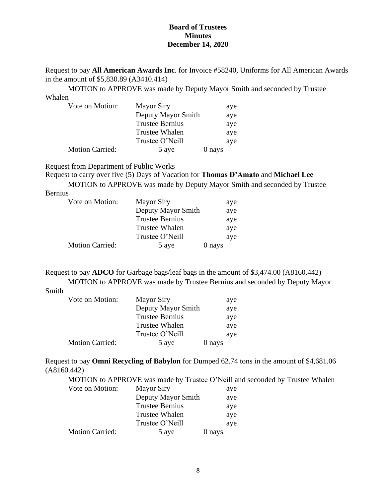Request to pay **All American Awards Inc**. for Invoice #58240, Uniforms for All American Awards in the amount of \$5,830.89 (A3410.414)

MOTION to APPROVE was made by Deputy Mayor Smith and seconded by Trustee Whalen

| Vote on Motion:        | <b>Mayor Siry</b>      | aye    |
|------------------------|------------------------|--------|
|                        | Deputy Mayor Smith     | aye    |
|                        | <b>Trustee Bernius</b> | aye    |
|                        | <b>Trustee Whalen</b>  | aye    |
|                        | Trustee O'Neill        | aye    |
| <b>Motion Carried:</b> | 5 aye                  | 0 nays |

Request from Department of Public Works

Request to carry over five (5) Days of Vacation for **Thomas D'Amato** and **Michael Lee**

MOTION to APPROVE was made by Deputy Mayor Smith and seconded by Trustee

| <b>Bernius</b> |
|----------------|
|                |
|                |

| Vote on Motion:        | <b>Mayor Siry</b>      |        | aye |
|------------------------|------------------------|--------|-----|
|                        | Deputy Mayor Smith     |        | aye |
|                        | <b>Trustee Bernius</b> |        | aye |
|                        | <b>Trustee Whalen</b>  |        | aye |
|                        | Trustee O'Neill        |        | aye |
| <b>Motion Carried:</b> | 5 aye                  | 0 nays |     |

Request to pay **ADCO** for Garbage bags/leaf bags in the amount of \$3,474.00 (A8160.442) MOTION to APPROVE was made by Trustee Bernius and seconded by Deputy Mayor

# Smith

| Vote on Motion:        | <b>Mayor Siry</b>      |        | aye |
|------------------------|------------------------|--------|-----|
|                        | Deputy Mayor Smith     |        | aye |
|                        | <b>Trustee Bernius</b> |        | aye |
|                        | <b>Trustee Whalen</b>  |        | aye |
|                        | Trustee O'Neill        |        | aye |
| <b>Motion Carried:</b> | 5 aye                  | 0 nays |     |

Request to pay **Omni Recycling of Babylon** for Dumped 62.74 tons in the amount of \$4,681.06 (A8160.442)

MOTION to APPROVE was made by Trustee O'Neill and seconded by Trustee Whalen

| Vote on Motion:        | <b>Mayor Siry</b>      |        | aye |
|------------------------|------------------------|--------|-----|
|                        | Deputy Mayor Smith     |        | aye |
|                        | <b>Trustee Bernius</b> |        | aye |
|                        | Trustee Whalen         |        | aye |
|                        | Trustee O'Neill        |        | aye |
| <b>Motion Carried:</b> | 5 aye                  | 0 nays |     |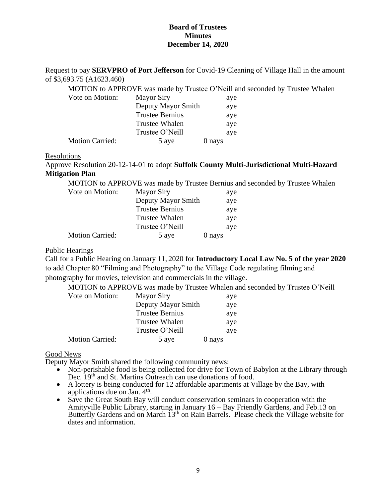Request to pay **SERVPRO of Port Jefferson** for Covid-19 Cleaning of Village Hall in the amount of \$3,693.75 (A1623.460)

MOTION to APPROVE was made by Trustee O'Neill and seconded by Trustee Whalen

| Vote on Motion:        | <b>Mayor Siry</b>      |        | aye |
|------------------------|------------------------|--------|-----|
|                        | Deputy Mayor Smith     |        | aye |
|                        | <b>Trustee Bernius</b> |        | aye |
|                        | <b>Trustee Whalen</b>  |        | aye |
|                        | Trustee O'Neill        |        | aye |
| <b>Motion Carried:</b> | 5 aye                  | 0 nays |     |

#### Resolutions

Approve Resolution 20-12-14-01 to adopt **Suffolk County Multi-Jurisdictional Multi-Hazard Mitigation Plan**

MOTION to APPROVE was made by Trustee Bernius and seconded by Trustee Whalen

| Vote on Motion:        | <b>Mayor Siry</b>      |        | aye |
|------------------------|------------------------|--------|-----|
|                        | Deputy Mayor Smith     |        | aye |
|                        | <b>Trustee Bernius</b> |        | aye |
|                        | <b>Trustee Whalen</b>  |        | aye |
|                        | Trustee O'Neill        |        | aye |
| <b>Motion Carried:</b> | 5 aye                  | 0 nays |     |

## Public Hearings

Call for a Public Hearing on January 11, 2020 for **Introductory Local Law No. 5 of the year 2020** to add Chapter 80 "Filming and Photography" to the Village Code regulating filming and photography for movies, television and commercials in the village.

MOTION to APPROVE was made by Trustee Whalen and seconded by Trustee O'Neill

| Vote on Motion:        | <b>Mayor Siry</b>      | aye    |
|------------------------|------------------------|--------|
|                        | Deputy Mayor Smith     | aye    |
|                        | <b>Trustee Bernius</b> | aye    |
|                        | Trustee Whalen         | aye    |
|                        | Trustee O'Neill        | aye    |
| <b>Motion Carried:</b> | 5 aye                  | 0 nays |

## Good News

Deputy Mayor Smith shared the following community news:

- Non-perishable food is being collected for drive for Town of Babylon at the Library through Dec. 19<sup>th</sup> and St. Martins Outreach can use donations of food.
- A lottery is being conducted for 12 affordable apartments at Village by the Bay, with applications due on Jan.  $4<sup>th</sup>$ .
- Save the Great South Bay will conduct conservation seminars in cooperation with the Amityville Public Library, starting in January 16 – Bay Friendly Gardens, and Feb.13 on Butterfly Gardens and on March 13<sup>th</sup> on Rain Barrels. Please check the Village website for dates and information.